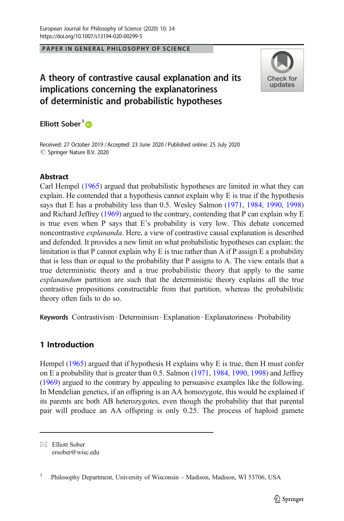### PAPER IN GENERAL PHILOSOPHY OF SCIENCE

# A theory of contrastive causal explanation and its implications concerning the explanatoriness of deterministic and probabilistic hypotheses



Elliott Sober<sup>1</sup><sup>®</sup>

Received: 27 October 2019 / Accepted: 23 June 2020 /Published online: 25 July 2020  $\circledcirc$  Springer Nature B.V. 2020

# **Abstract**

Carl Hempel ([1965](#page-14-0)) argued that probabilistic hypotheses are limited in what they can explain. He contended that a hypothesis cannot explain why E is true if the hypothesis says that E has a probability less than 0.5. Wesley Salmon [\(1971,](#page-14-0) [1984,](#page-14-0) [1990,](#page-14-0) [1998](#page-14-0)) and Richard Jeffrey [\(1969\)](#page-14-0) argued to the contrary, contending that P can explain why E is true even when P says that E's probability is very low. This debate concerned noncontrastive explananda. Here, a view of contrastive causal explanation is described and defended. It provides a new limit on what probabilistic hypotheses can explain; the limitation is that P cannot explain why E is true rather than A if P assign E a probability that is less than or equal to the probability that P assigns to A. The view entails that a true deterministic theory and a true probabilistic theory that apply to the same explanandum partition are such that the deterministic theory explains all the true contrastive propositions constructable from that partition, whereas the probabilistic theory often fails to do so.

Keywords Contrastivism . Determinism . Explanation . Explanatoriness. Probability

# 1 Introduction

Hempel ([1965](#page-14-0)) argued that if hypothesis H explains why E is true, then H must confer on E a probability that is greater than 0.5. Salmon ([1971](#page-14-0), [1984](#page-14-0), [1990,](#page-14-0) [1998\)](#page-14-0) and Jeffrey [\(1969\)](#page-14-0) argued to the contrary by appealing to persuasive examples like the following. In Mendelian genetics, if an offspring is an AA homozygote, this would be explained if its parents are both AB heterozygotes, even though the probability that that parental pair will produce an AA offspring is only 0.25. The process of haploid gamete

 $\boxtimes$  Elliott Sober [ersober@wisc.edu](mailto:ersober@wisc.edu)

<sup>&</sup>lt;sup>1</sup> Philosophy Department, University of Wisconsin – Madison, Madison, WI 53706, USA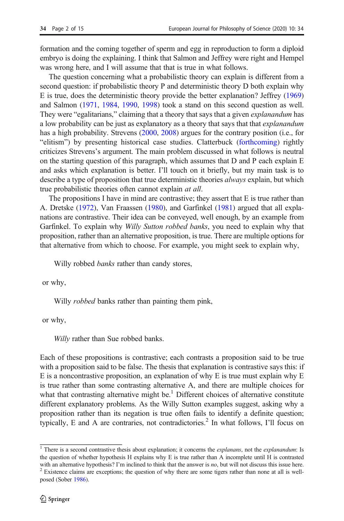formation and the coming together of sperm and egg in reproduction to form a diploid embryo is doing the explaining. I think that Salmon and Jeffrey were right and Hempel was wrong here, and I will assume that that is true in what follows.

The question concerning what a probabilistic theory can explain is different from a second question: if probabilistic theory P and deterministic theory D both explain why E is true, does the deterministic theory provide the better explanation? Jeffrey ([1969](#page-14-0)) and Salmon [\(1971](#page-14-0), [1984](#page-14-0), [1990,](#page-14-0) [1998\)](#page-14-0) took a stand on this second question as well. They were "egalitarians," claiming that a theory that says that a given *explanandum* has a low probability can be just as explanatory as a theory that says that that *explanandum* has a high probability. Strevens ([2000](#page-14-0), [2008](#page-14-0)) argues for the contrary position (i.e., for "elitism") by presenting historical case studies. Clatterbuck [\(forthcoming](#page-13-0)) rightly criticizes Strevens's argument. The main problem discussed in what follows is neutral on the starting question of this paragraph, which assumes that D and P each explain E and asks which explanation is better. I'll touch on it briefly, but my main task is to describe a type of proposition that true deterministic theories *always* explain, but which true probabilistic theories often cannot explain at all.

The propositions I have in mind are contrastive; they assert that E is true rather than A. Dretske [\(1972\)](#page-13-0), Van Fraassen ([1980](#page-14-0)), and Garfinkel ([1981](#page-13-0)) argued that all explanations are contrastive. Their idea can be conveyed, well enough, by an example from Garfinkel. To explain why *Willy Sutton robbed banks*, you need to explain why that proposition, rather than an alternative proposition, is true. There are multiple options for that alternative from which to choose. For example, you might seek to explain why,

Willy robbed *banks* rather than candy stores,

or why,

Willy *robbed* banks rather than painting them pink,

or why,

Willy rather than Sue robbed banks.

Each of these propositions is contrastive; each contrasts a proposition said to be true with a proposition said to be false. The thesis that explanation is contrastive says this: if E is a noncontrastive proposition, an explanation of why E is true must explain why E is true rather than some contrasting alternative A, and there are multiple choices for what that contrasting alternative might be. $<sup>1</sup>$  Different choices of alternative constitute</sup> different explanatory problems. As the Willy Sutton examples suggest, asking why a proposition rather than its negation is true often fails to identify a definite question; typically, E and A are contraries, not contradictories.<sup>2</sup> In what follows, I'll focus on

 $1$  There is a second contrastive thesis about explanation; it concerns the *explanans*, not the *explanandum*: Is the question of whether hypothesis H explains why E is true rather than A incomplete until H is contrasted

with an alternative hypothesis? I'm inclined to think that the answer is no, but will not discuss this issue here.  $2^2$  Existence claims are exceptions; the question of why there are some tigers rather than none at all i posed (Sober [1986\)](#page-14-0).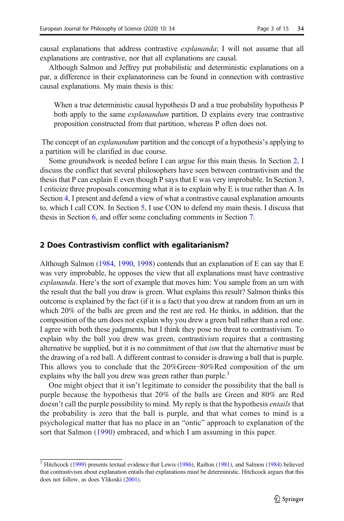causal explanations that address contrastive explananda; I will not assume that all explanations are contrastive, nor that all explanations are causal.

Although Salmon and Jeffrey put probabilistic and deterministic explanations on a par, a difference in their explanatoriness can be found in connection with contrastive causal explanations. My main thesis is this:

When a true deterministic causal hypothesis D and a true probability hypothesis P both apply to the same *explanandum* partition, D explains every true contrastive proposition constructed from that partition, whereas P often does not.

The concept of an *explanandum* partition and the concept of a hypothesis's applying to a partition will be clarified in due course.

Some groundwork is needed before I can argue for this main thesis. In Section 2, I discuss the conflict that several philosophers have seen between contrastivism and the thesis that P can explain E even though P says that E was very improbable. In Section [3,](#page-3-0) I criticize three proposals concerning what it is to explain why E is true rather than A. In Section [4](#page-6-0), I present and defend a view of what a contrastive causal explanation amounts to, which I call CON. In Section [5,](#page-8-0) I use CON to defend my main thesis. I discuss that thesis in Section [6](#page-10-0), and offer some concluding comments in Section [7.](#page-13-0)

#### 2 Does Contrastivism conflict with egalitarianism?

Although Salmon [\(1984](#page-14-0), [1990](#page-14-0), [1998\)](#page-14-0) contends that an explanation of E can say that E was very improbable, he opposes the view that all explanations must have contrastive explananda. Here's the sort of example that moves him: You sample from an urn with the result that the ball you draw is green. What explains this result? Salmon thinks this outcome is explained by the fact (if it is a fact) that you drew at random from an urn in which 20% of the balls are green and the rest are red. He thinks, in addition, that the composition of the urn does not explain why you drew a green ball rather than a red one. I agree with both these judgments, but I think they pose no threat to contrastivism. To explain why the ball you drew was green, contrastivism requires that a contrasting alternative be supplied, but it is no commitment of that ism that the alternative must be the drawing of a red ball. A different contrast to consider is drawing a ball that is purple. This allows you to conclude that the 20%Green−80%Red composition of the urn explains why the ball you drew was green rather than purple.<sup>3</sup>

One might object that it isn't legitimate to consider the possibility that the ball is purple because the hypothesis that 20% of the balls are Green and 80% are Red doesn't call the purple possibility to mind. My reply is that the hypothesis *entails* that the probability is zero that the ball is purple, and that what comes to mind is a psychological matter that has no place in an "ontic" approach to explanation of the sort that Salmon [\(1990\)](#page-14-0) embraced, and which I am assuming in this paper.

 $\frac{3}{3}$  Hitchcock [\(1999\)](#page-14-0) presents textual evidence that Lewis [\(1986\)](#page-14-0), Railton [\(1981](#page-14-0)), and Salmon [\(1984\)](#page-14-0) believed that contrastivism about explanation entails that explanations must be deterministic. Hitchcock argues that this does not follow, as does Ylikoski [\(2001\)](#page-14-0).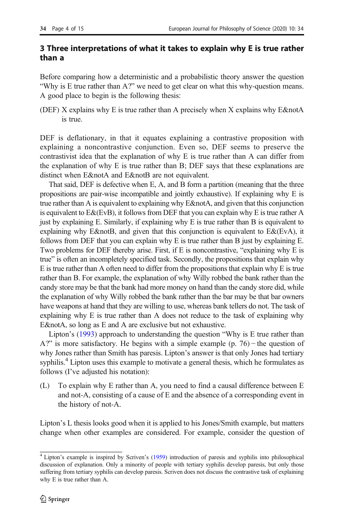# <span id="page-3-0"></span>3 Three interpretations of what it takes to explain why E is true rather than a

Before comparing how a deterministic and a probabilistic theory answer the question "Why is E true rather than A?" we need to get clear on what this why-question means. A good place to begin is the following thesis:

(DEF) X explains why E is true rather than A precisely when X explains why E&notA is true.

DEF is deflationary, in that it equates explaining a contrastive proposition with explaining a noncontrastive conjunction. Even so, DEF seems to preserve the contrastivist idea that the explanation of why E is true rather than A can differ from the explanation of why E is true rather than B; DEF says that these explanations are distinct when E&notA and E&notB are not equivalent.

That said, DEF is defective when E, A, and B form a partition (meaning that the three propositions are pair-wise incompatible and jointly exhaustive). If explaining why E is true rather than A is equivalent to explaining why E&notA, and given that this conjunction is equivalent to E&(EvB), it follows from DEF that you can explain why E is true rather A just by explaining E. Similarly, if explaining why E is true rather than B is equivalent to explaining why E&notB, and given that this conjunction is equivalent to  $E&EvA$ , it follows from DEF that you can explain why E is true rather than B just by explaining E. Two problems for DEF thereby arise. First, if E is noncontrastive, "explaining why E is true" is often an incompletely specified task. Secondly, the propositions that explain why E is true rather than A often need to differ from the propositions that explain why E is true rather than B. For example, the explanation of why Willy robbed the bank rather than the candy store may be that the bank had more money on hand than the candy store did, while the explanation of why Willy robbed the bank rather than the bar may be that bar owners have weapons at hand that they are willing to use, whereas bank tellers do not. The task of explaining why E is true rather than A does not reduce to the task of explaining why E& not A, so long as E and A are exclusive but not exhaustive.

Lipton's [\(1993\)](#page-14-0) approach to understanding the question "Why is E true rather than A?" is more satisfactory. He begins with a simple example (p. 76) − the question of why Jones rather than Smith has paresis. Lipton's answer is that only Jones had tertiary syphilis.<sup>4</sup> Lipton uses this example to motivate a general thesis, which he formulates as follows (I've adjusted his notation):

(L) To explain why E rather than A, you need to find a causal difference between E and not-A, consisting of a cause of E and the absence of a corresponding event in the history of not-A.

Lipton's L thesis looks good when it is applied to his Jones/Smith example, but matters change when other examples are considered. For example, consider the question of

<sup>4</sup> Lipton's example is inspired by Scriven's ([1959](#page-14-0)) introduction of paresis and syphilis into philosophical discussion of explanation. Only a minority of people with tertiary syphilis develop paresis, but only those suffering from tertiary syphilis can develop paresis. Scriven does not discuss the contrastive task of explaining why E is true rather than A.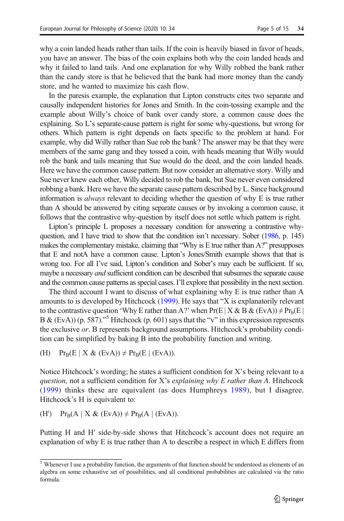why a coin landed heads rather than tails. If the coin is heavily biased in favor of heads, you have an answer. The bias of the coin explains both why the coin landed heads and why it failed to land tails. And one explanation for why Willy robbed the bank rather than the candy store is that he believed that the bank had more money than the candy store, and he wanted to maximize his cash flow.

In the paresis example, the explanation that Lipton constructs cites two separate and causally independent histories for Jones and Smith. In the coin-tossing example and the example about Willy's choice of bank over candy store, a common cause does the explaining. So L's separate-cause pattern is right for some why-questions, but wrong for others. Which pattern is right depends on facts specific to the problem at hand. For example, why did Willy rather than Sue rob the bank? The answer may be that they were members of the same gang and they tossed a coin, with heads meaning that Willy would rob the bank and tails meaning that Sue would do the deed, and the coin landed heads. Here we have the common cause pattern. But now consider an alternative story. Willy and Sue never knew each other, Willy decided to rob the bank, but Sue never even considered robbing a bank. Here we have the separate cause pattern described by L. Since background information is *always* relevant to deciding whether the question of why E is true rather than A should be answered by citing separate causes or by invoking a common cause, it follows that the contrastive why-question by itself does not settle which pattern is right.

Lipton's principle L proposes a necessary condition for answering a contrastive whyquestion, and I have tried to show that the condition isn't necessary. Sober [\(1986,](#page-14-0) p. 145) makes the complementary mistake, claiming that "Why is E true rather than A?" presupposes that E and notA have a common cause. Lipton's Jones/Smith example shows that that is wrong too. For all I've said, Lipton's condition and Sober's may each be sufficient. If so, maybe a necessary *and* sufficient condition can be described that subsumes the separate cause and the common cause patterns as special cases. I'll explore that possibility in the next section.

The third account I want to discuss of what explaining why E is true rather than A amounts to is developed by Hitchcock ([1999](#page-14-0)). He says that "X is explanatorily relevant to the contrastive question 'Why E rather than A?' when  $Pr(E|X \& B \& (EvA)) \neq Pr_b(E)$ B & (EvA)) (p. 587)."<sup>5</sup> Hitchcock (p. 601) says that the "v" in this expression represents the exclusive or. B represents background assumptions. Hitchcock's probability condition can be simplified by baking B into the probability function and writing.

(H)  $Pr_B(E \mid X \& (EvA)) \neq Pr_B(E \mid (EvA)).$ 

Notice Hitchcock's wording; he states a sufficient condition for X's being relevant to a question, not a sufficient condition for X's explaining why E rather than A. Hitchcock [\(1999\)](#page-14-0) thinks these are equivalent (as does Humphreys [1989](#page-14-0)), but I disagree. Hitchcock's H is equivalent to:

(H')  $Pr_B(A \mid X \& (EvA)) \neq Pr_B(A \mid (EvA)).$ 

Putting H and H′ side-by-side shows that Hitchcock's account does not require an explanation of why E is true rather than A to describe a respect in which E differs from

 $\frac{5}{3}$  Whenever I use a probability function, the arguments of that function should be understood as elements of an algebra on some exhaustive set of possibilities, and all conditional probabilities are calculated via the ratio formula.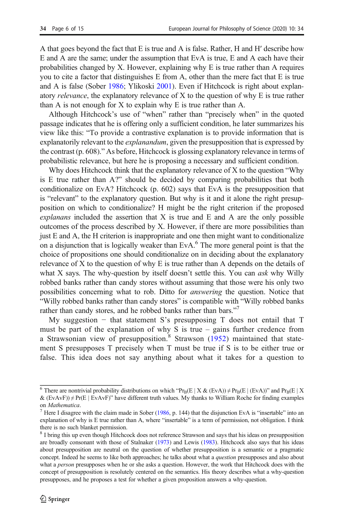A that goes beyond the fact that E is true and A is false. Rather, H and H′ describe how E and A are the same; under the assumption that EvA is true, E and A each have their probabilities changed by X. However, explaining why E is true rather than A requires you to cite a factor that distinguishes E from A, other than the mere fact that E is true and A is false (Sober [1986;](#page-14-0) Ylikoski [2001\)](#page-14-0). Even if Hitchcock is right about explanatory *relevance*, the explanatory relevance of X to the question of why E is true rather than A is not enough for X to explain why E is true rather than A.

Although Hitchcock's use of "when" rather than "precisely when" in the quoted passage indicates that he is offering only a sufficient condition, he later summarizes his view like this: "To provide a contrastive explanation is to provide information that is explanatorily relevant to the *explanandum*, given the presupposition that is expressed by the contrast (p. 608)." As before, Hitchcock is glossing explanatory relevance in terms of probabilistic relevance, but here he is proposing a necessary and sufficient condition.

Why does Hitchcock think that the explanatory relevance of X to the question "Why" is E true rather than A?" should be decided by comparing probabilities that both conditionalize on EvA? Hitchcock  $(p. 602)$  says that EvA is the presupposition that is "relevant" to the explanatory question. But why is it and it alone the right presupposition on which to conditionalize? H might be the right criterion if the proposed  $explanans$  included the assertion that  $X$  is true and  $E$  and  $A$  are the only possible outcomes of the process described by X. However, if there are more possibilities than just E and A, the H criterion is inappropriate and one then might want to conditionalize on a disjunction that is logically weaker than  $EvA<sup>6</sup>$ . The more general point is that the choice of propositions one should conditionalize on in deciding about the explanatory relevance of X to the question of why E is true rather than A depends on the details of what X says. The why-question by itself doesn't settle this. You can *ask* why Willy robbed banks rather than candy stores without assuming that those were his only two possibilities concerning what to rob. Ditto for answering the question. Notice that "Willy robbed banks rather than candy stores" is compatible with "Willy robbed banks rather than candy stores, and he robbed banks rather than bars."7

My suggestion  $-$  that statement S's presupposing T does not entail that T must be part of the explanation of why S is true – gains further credence from a Strawsonian view of presupposition.<sup>8</sup> Strawson ([1952](#page-14-0)) maintained that statement S presupposes T precisely when T must be true if S is to be either true or false. This idea does not say anything about what it takes for a question to

<sup>&</sup>lt;sup>6</sup> There are nontrivial probability distributions on which "Pr<sub>B</sub>(E | X & (EvA))  $\neq$  Pr<sub>B</sub>(E | (EvA))" and Pr<sub>B</sub>(E | X  $\&$  (EvAvF))  $\neq$  Pr(E | EvAvF)" have different truth values. My thanks to William Roche for finding examples

on *Mathematica*. <sup>7</sup> Here I disagree with the claim made in Sober ([1986](#page-14-0), p. 144) that the disjunction EvA is "insertable" into an explanation of why is E true rather than A, where "insertable" is a term of permission, not obligation. I think there is no such blanket permission.

<sup>8</sup> I bring this up even though Hitchcock does not reference Strawson and says that his ideas on presupposition are broadly consonant with those of Stalnaker [\(1973\)](#page-14-0) and Lewis [\(1983\)](#page-14-0). Hitchcock also says that his ideas about presupposition are neutral on the question of whether presupposition is a semantic or a pragmatic concept. Indeed he seems to like both approaches; he talks about what a question presupposes and also about what a *person* presupposes when he or she asks a question. However, the work that Hitchcock does with the concept of presupposition is resolutely centered on the semantics. His theory describes what a why-question presupposes, and he proposes a test for whether a given proposition answers a why-question.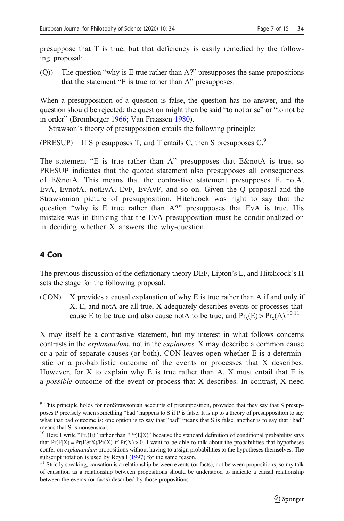<span id="page-6-0"></span>presuppose that T is true, but that deficiency is easily remedied by the following proposal:

(Q)) The question "why is E true rather than A?" presupposes the same propositions that the statement "E is true rather than A" presupposes.

When a presupposition of a question is false, the question has no answer, and the question should be rejected; the question might then be said "to not arise" or "to not be in order" (Bromberger [1966](#page-13-0); Van Fraassen [1980\)](#page-14-0).

Strawson's theory of presupposition entails the following principle:

(PRESUP) If S presupposes T, and T entails C, then S presupposes  $C^9$ .

The statement "E is true rather than A" presupposes that  $E&notA$  is true, so PRESUP indicates that the quoted statement also presupposes all consequences of E&notA. This means that the contrastive statement presupposes  $E$ , notA, EvA, EvnotA, notEvA, EvF, EvAvF, and so on. Given the Q proposal and the Strawsonian picture of presupposition, Hitchcock was right to say that the question "why is E true rather than A?" presupposes that EvA is true. His mistake was in thinking that the EvA presupposition must be conditionalized on in deciding whether X answers the why-question.

# 4 Con

The previous discussion of the deflationary theory DEF, Lipton's L, and Hitchcock's H sets the stage for the following proposal:

(CON) X provides a causal explanation of why E is true rather than A if and only if X, E, and notA are all true, X adequately describes events or processes that cause E to be true and also cause notA to be true, and  $Pr_x(E) > Pr_x(A)$ .<sup>10,11</sup>

X may itself be a contrastive statement, but my interest in what follows concerns contrasts in the explanandum, not in the explanans. X may describe a common cause or a pair of separate causes (or both). CON leaves open whether E is a deterministic or a probabilistic outcome of the events or processes that X describes. However, for X to explain why E is true rather than A, X must entail that E is a possible outcome of the event or process that X describes. In contrast, X need

 $9$  This principle holds for nonStrawsonian accounts of presupposition, provided that they say that S presupposes P precisely when something "bad" happens to S if P is false. It is up to a theory of presupposition to say what that bad outcome is; one option is to say that "bad" means that S is false; another is to say that "bad" means that S is nonsensical.

<sup>&</sup>lt;sup>10</sup> Here I write "Pr<sub>x</sub>(E)" rather than "Pr(E|X)" because the standard definition of conditional probability says that  $Pr(E|X) = Pr(E\&X)/Pr(X)$  if  $Pr(X) > 0$ . I want to be able to talk about the probabilities that hypotheses confer on *explanandum* propositions without having to assign probabilities to the hypotheses themselves. The subscript notation is used by Royall ([1997](#page-14-0)) for the same reason.<br><sup>11</sup> Strictly speaking, causation is a relationship between events (or facts), not between propositions, so my talk

of causation as a relationship between propositions should be understood to indicate a causal relationship between the events (or facts) described by those propositions.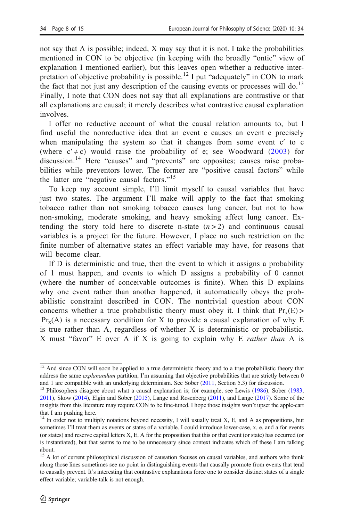not say that A is possible; indeed, X may say that it is not. I take the probabilities mentioned in CON to be objective (in keeping with the broadly "ontic" view of explanation I mentioned earlier), but this leaves open whether a reductive interpretation of objective probability is possible.<sup>12</sup> I put "adequately" in CON to mark the fact that not just any description of the causing events or processes will do.<sup>13</sup> Finally, I note that CON does not say that all explanations are contrastive or that all explanations are causal; it merely describes what contrastive causal explanation involves.

I offer no reductive account of what the causal relation amounts to, but I find useful the nonreductive idea that an event c causes an event e precisely when manipulating the system so that it changes from some event c′ to c (where  $c' \neq c$ ) would raise the probability of e; see Woodward [\(2003](#page-14-0)) for discussion.<sup>14</sup> Here "causes" and "prevents" are opposites; causes raise probabilities while preventors lower. The former are "positive causal factors" while the latter are "negative causal factors."<sup>15</sup>

To keep my account simple, I'll limit myself to causal variables that have just two states. The argument I'll make will apply to the fact that smoking tobacco rather than not smoking tobacco causes lung cancer, but not to how non-smoking, moderate smoking, and heavy smoking affect lung cancer. Extending the story told here to discrete n-state  $(n>2)$  and continuous causal variables is a project for the future. However, I place no such restriction on the finite number of alternative states an effect variable may have, for reasons that will become clear.

If D is deterministic and true, then the event to which it assigns a probability of 1 must happen, and events to which D assigns a probability of 0 cannot (where the number of conceivable outcomes is finite). When this D explains why one event rather than another happened, it automatically obeys the probabilistic constraint described in CON. The nontrivial question about CON concerns whether a true probabilistic theory must obey it. I think that  $Pr_x(E)$  $Pr<sub>x</sub>(A)$  is a necessary condition for X to provide a causal explanation of why E is true rather than A, regardless of whether X is deterministic or probabilistic. X must "favor" E over A if X is going to explain why E *rather than* A is

 $\frac{12}{12}$  And since CON will soon be applied to a true deterministic theory and to a true probabilistic theory that address the same *explanandum* partition, I'm assuming that objective probabilities that are strictly between 0 and 1 are compatible with an underlying determinism. See Sober (2011, Section 5.3) for discussion.

<sup>&</sup>lt;sup>13</sup> Philosophers disagree about what a causal explanation is; for example, see Lewis ([1986](#page-14-0)), Sober ([1983](#page-14-0), [2011\)](#page-14-0), Skow ([2014](#page-14-0)), Elgin and Sober [\(2015\)](#page-13-0), Lange and Rosenberg [\(2011\)](#page-14-0), and Lange [\(2017\)](#page-14-0). Some of the insights from this literature may require CON to be fine-tuned. I hope those insights won't upset the apple-cart that I am pushing here.

<sup>&</sup>lt;sup>14</sup> In order not to multiply notations beyond necessity, I will usually treat X, E, and A as propositions, but sometimes I'll treat them as events or states of a variable. I could introduce lower-case, x, e, and a for events (or states) and reserve capital letters X, E, A for the proposition that this or that event (or state) has occurred (or is instantiated), but that seems to me to be unnecessary since context indicates which of these I am talking about.

<sup>&</sup>lt;sup>15</sup> A lot of current philosophical discussion of causation focuses on causal variables, and authors who think along those lines sometimes see no point in distinguishing events that causally promote from events that tend to causally prevent. It's interesting that contrastive explanations force one to consider distinct states of a single effect variable; variable-talk is not enough.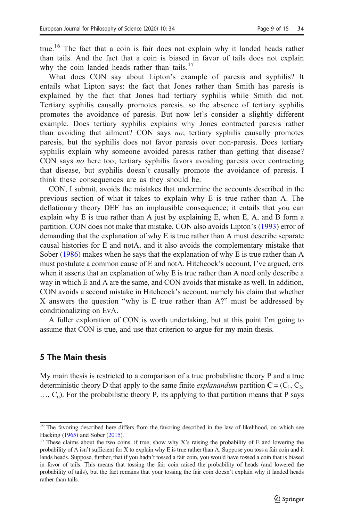<span id="page-8-0"></span>true.<sup>16</sup> The fact that a coin is fair does not explain why it landed heads rather than tails. And the fact that a coin is biased in favor of tails does not explain why the coin landed heads rather than tails.<sup>17</sup>

What does CON say about Lipton's example of paresis and syphilis? It entails what Lipton says: the fact that Jones rather than Smith has paresis is explained by the fact that Jones had tertiary syphilis while Smith did not. Tertiary syphilis causally promotes paresis, so the absence of tertiary syphilis promotes the avoidance of paresis. But now let's consider a slightly different example. Does tertiary syphilis explains why Jones contracted paresis rather than avoiding that ailment? CON says no; tertiary syphilis causally promotes paresis, but the syphilis does not favor paresis over non-paresis. Does tertiary syphilis explain why someone avoided paresis rather than getting that disease? CON says no here too; tertiary syphilis favors avoiding paresis over contracting that disease, but syphilis doesn't causally promote the avoidance of paresis. I think these consequences are as they should be.

CON, I submit, avoids the mistakes that undermine the accounts described in the previous section of what it takes to explain why E is true rather than A. The deflationary theory DEF has an implausible consequence; it entails that you can explain why E is true rather than A just by explaining E, when E, A, and B form a partition. CON does not make that mistake. CON also avoids Lipton's [\(1993](#page-14-0)) error of demanding that the explanation of why E is true rather than A must describe separate causal histories for E and notA, and it also avoids the complementary mistake that Sober ([1986\)](#page-14-0) makes when he says that the explanation of why E is true rather than A must postulate a common cause of E and notA. Hitchcock's account, I've argued, errs when it asserts that an explanation of why E is true rather than A need only describe a way in which E and A are the same, and CON avoids that mistake as well. In addition, CON avoids a second mistake in Hitchcock's account, namely his claim that whether X answers the question "why is E true rather than A?" must be addressed by conditionalizing on EvA.

A fuller exploration of CON is worth undertaking, but at this point I'm going to assume that CON is true, and use that criterion to argue for my main thesis.

# 5 The Main thesis

My main thesis is restricted to a comparison of a true probabilistic theory P and a true deterministic theory D that apply to the same finite *explanandum* partition  $C = (C_1, C_2,$  $..., C_n$ ). For the probabilistic theory P, its applying to that partition means that P says

 $\frac{16}{16}$  The favoring described here differs from the favoring described in the law of likelihood, on which see Hacking [\(1965](#page-14-0)) and Sober ([2015](#page-14-0)).<br><sup>17</sup> These claims about the two coins, if true, show why X's raising the probability of E and lowering the

probability of A isn't sufficient for X to explain why E is true rather than A. Suppose you toss a fair coin and it lands heads. Suppose, further, that if you hadn't tossed a fair coin, you would have tossed a coin that is biased in favor of tails. This means that tossing the fair coin raised the probability of heads (and lowered the probability of tails), but the fact remains that your tossing the fair coin doesn't explain why it landed heads rather than tails.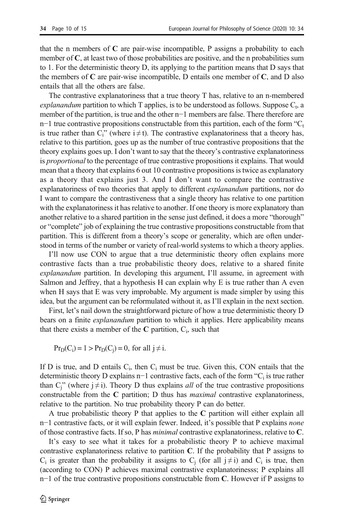that the n members of  $C$  are pair-wise incompatible,  $P$  assigns a probability to each member of C, at least two of those probabilities are positive, and the n probabilities sum to 1. For the deterministic theory D, its applying to the partition means that D says that the members of  $C$  are pair-wise incompatible,  $D$  entails one member of  $C$ , and  $D$  also entails that all the others are false.

The contrastive explanatoriness that a true theory T has, relative to an n-membered explanandum partition to which T applies, is to be understood as follows. Suppose  $C_t$ , a member of the partition, is true and the other n−1 members are false. There therefore are n−1 true contrastive propositions constructable from this partition, each of the form " $C_t$ is true rather than  $C_i$ " (where  $i \neq t$ ). The contrastive explanatoriness that a theory has, relative to this partition, goes up as the number of true contrastive propositions that the theory explains goes up. I don't want to say that the theory's contrastive explanatoriness is *proportional* to the percentage of true contrastive propositions it explains. That would mean that a theory that explains 6 out 10 contrastive propositions is twice as explanatory as a theory that explains just 3. And I don't want to compare the contrastive explanatoriness of two theories that apply to different *explanandum* partitions, nor do I want to compare the contrastiveness that a single theory has relative to one partition with the explanatoriness it has relative to another. If one theory is more explanatory than another relative to a shared partition in the sense just defined, it does a more "thorough" or "complete" job of explaining the true contrastive propositions constructable from that partition. This is different from a theory's scope or generality, which are often understood in terms of the number or variety of real-world systems to which a theory applies.

I'll now use CON to argue that a true deterministic theory often explains more contrastive facts than a true probabilistic theory does, relative to a shared finite explanandum partition. In developing this argument, I'll assume, in agreement with Salmon and Jeffrey, that a hypothesis H can explain why E is true rather than A even when H says that E was very improbable. My argument is made simpler by using this idea, but the argument can be reformulated without it, as I'll explain in the next section.

First, let's nail down the straightforward picture of how a true deterministic theory D bears on a finite explanandum partition to which it applies. Here applicability means that there exists a member of the  $C$  partition,  $C_i$ , such that

$$
Pr_D(C_i) = 1 > Pr_D(C_j) = 0, \text{ for all } j \neq i.
$$

If D is true, and D entails  $C_i$ , then  $C_i$  must be true. Given this, CON entails that the deterministic theory D explains n−1 contrastive facts, each of the form "C<sub>i</sub> is true rather than C<sub>i</sub>" (where  $j \neq i$ ). Theory D thus explains *all* of the true contrastive propositions constructable from the  $C$  partition;  $D$  thus has *maximal* contrastive explanatoriness, relative to the partition. No true probability theory P can do better.

A true probabilistic theory P that applies to the C partition will either explain all n−1 contrastive facts, or it will explain fewer. Indeed, it's possible that P explains *none* of those contrastive facts. If so, P has minimal contrastive explanatoriness, relative to C.

It's easy to see what it takes for a probabilistic theory P to achieve maximal contrastive explanatoriness relative to partition C. If the probability that P assigns to  $C_i$  is greater than the probability it assigns to  $C_i$  (for all  $j \neq i$ ) and  $C_i$  is true, then (according to CON) P achieves maximal contrastive explanatorinesss; P explains all  $n-1$  of the true contrastive propositions constructable from C. However if P assigns to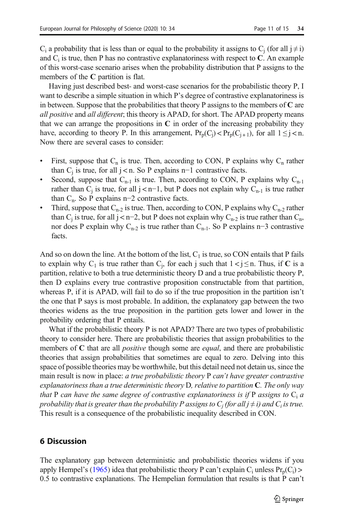<span id="page-10-0"></span> $C_i$  a probability that is less than or equal to the probability it assigns to  $C_i$  (for all  $j \neq i$ ) and  $C_i$  is true, then P has no contrastive explanatoriness with respect to  $C$ . An example of this worst-case scenario arises when the probability distribution that P assigns to the members of the C partition is flat.

Having just described best- and worst-case scenarios for the probabilistic theory P, I want to describe a simple situation in which P's degree of contrastive explanatoriness is in between. Suppose that the probabilities that theory P assigns to the members of  $C$  are all positive and all different; this theory is APAD, for short. The APAD property means that we can arrange the propositions in  $C$  in order of the increasing probability they have, according to theory P. In this arrangement,  $Pr_p(C_j) < Pr_p(C_{j+1})$ , for all  $1 \leq j < n$ . Now there are several cases to consider:

- First, suppose that  $C_n$  is true. Then, according to CON, P explains why  $C_n$  rather than  $C_i$  is true, for all j < n. So P explains n−1 contrastive facts.
- Second, suppose that  $C_{n-1}$  is true. Then, according to CON, P explains why  $C_{n-1}$ rather than C<sub>i</sub> is true, for all j < n−1, but P does not explain why C<sub>n-1</sub> is true rather than  $C_n$ . So P explains n−2 contrastive facts.
- Third, suppose that  $C_{n-2}$  is true. Then, according to CON, P explains why  $C_{n-2}$  rather than C<sub>i</sub> is true, for all j < n−2, but P does not explain why C<sub>n-2</sub> is true rather than C<sub>n</sub>, nor does P explain why  $C_{n-2}$  is true rather than  $C_{n-1}$ . So P explains n−3 contrastive facts.

And so on down the line. At the bottom of the list,  $C_1$  is true, so CON entails that P fails to explain why  $C_1$  is true rather than  $C_j$ , for each j such that  $1 < j \le n$ . Thus, if **C** is a partition, relative to both a true deterministic theory D and a true probabilistic theory P, then D explains every true contrastive proposition constructable from that partition, whereas P, if it is APAD, will fail to do so if the true proposition in the partition isn't the one that P says is most probable. In addition, the explanatory gap between the two theories widens as the true proposition in the partition gets lower and lower in the probability ordering that P entails.

What if the probabilistic theory P is not APAD? There are two types of probabilistic theory to consider here. There are probabilistic theories that assign probabilities to the members of C that are all *positive* though some are *equal*, and there are probabilistic theories that assign probabilities that sometimes are equal to zero. Delving into this space of possible theories may be worthwhile, but this detail need not detain us, since the main result is now in place: *a true probabilistic theory* P *can't have greater contrastive* explanatoriness than a true deterministic theory  $D$ , relative to partition  $C$ . The only way that P can have the same degree of contrastive explanatoriness is if P assigns to  $C_i$  a probability that is greater than the probability P assigns to  $C_i$  (for all  $j \neq i$ ) and  $C_i$  is true. This result is a consequence of the probabilistic inequality described in CON.

#### 6 Discussion

The explanatory gap between deterministic and probabilistic theories widens if you apply Hempel's ([1965](#page-14-0)) idea that probabilistic theory P can't explain  $C_i$  unless  $Pr_p(C_i)$ 0.5 to contrastive explanations. The Hempelian formulation that results is that P can't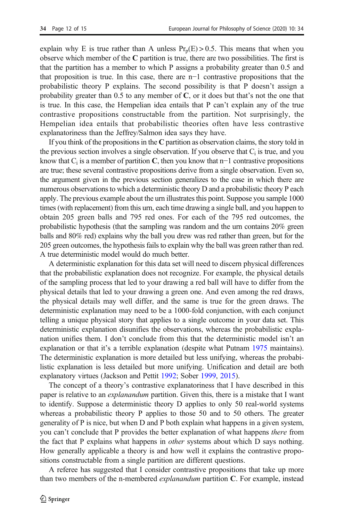explain why E is true rather than A unless  $Pr_n(E) > 0.5$ . This means that when you observe which member of the C partition is true, there are two possibilities. The first is that the partition has a member to which P assigns a probability greater than 0.5 and that proposition is true. In this case, there are n−1 contrastive propositions that the probabilistic theory P explains. The second possibility is that P doesn't assign a probability greater than  $0.5$  to any member of C, or it does but that's not the one that is true. In this case, the Hempelian idea entails that P can't explain any of the true contrastive propositions constructable from the partition. Not surprisingly, the Hempelian idea entails that probabilistic theories often have less contrastive explanatoriness than the Jeffrey/Salmon idea says they have.

If you think of the propositions in the C partition as observation claims, the story told in the previous section involves a single observation. If you observe that  $C_i$  is true, and you know that  $C_i$  is a member of partition C, then you know that n−1 contrastive propositions are true; these several contrastive propositions derive from a single observation. Even so, the argument given in the previous section generalizes to the case in which there are numerous observations to which a deterministic theory D and a probabilistic theory P each apply. The previous example about the urn illustrates this point. Suppose you sample 1000 times (with replacement) from this urn, each time drawing a single ball, and you happen to obtain 205 green balls and 795 red ones. For each of the 795 red outcomes, the probabilistic hypothesis (that the sampling was random and the urn contains 20% green balls and 80% red) explains why the ball you drew was red rather than green, but for the 205 green outcomes, the hypothesis fails to explain why the ball was green rather than red. A true deterministic model would do much better.

A deterministic explanation for this data set will need to discern physical differences that the probabilistic explanation does not recognize. For example, the physical details of the sampling process that led to your drawing a red ball will have to differ from the physical details that led to your drawing a green one. And even among the red draws, the physical details may well differ, and the same is true for the green draws. The deterministic explanation may need to be a 1000-fold conjunction, with each conjunct telling a unique physical story that applies to a single outcome in your data set. This deterministic explanation disunifies the observations, whereas the probabilistic explanation unifies them. I don't conclude from this that the deterministic model isn't an explanation or that it's a terrible explanation (despite what Putnam [1975](#page-14-0) maintains). The deterministic explanation is more detailed but less unifying, whereas the probabilistic explanation is less detailed but more unifying. Unification and detail are both explanatory virtues (Jackson and Pettit [1992](#page-14-0); Sober [1999,](#page-14-0) [2015\)](#page-14-0).

The concept of a theory's contrastive explanatoriness that I have described in this paper is relative to an *explanandum* partition. Given this, there is a mistake that I want to identify. Suppose a deterministic theory D applies to only 50 real-world systems whereas a probabilistic theory P applies to those 50 and to 50 others. The greater generality of P is nice, but when D and P both explain what happens in a given system, you can't conclude that P provides the better explanation of what happens *there* from the fact that P explains what happens in *other* systems about which D says nothing. How generally applicable a theory is and how well it explains the contrastive propositions constructable from a single partition are different questions.

A referee has suggested that I consider contrastive propositions that take up more than two members of the n-membered *explanandum* partition **C**. For example, instead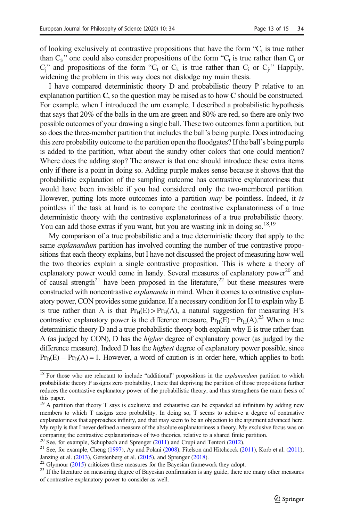of looking exclusively at contrastive propositions that have the form  $C_t$  is true rather than  $C_i$ ," one could also consider propositions of the form " $C_i$  is true rather than  $C_i$  or  $C_i$ " and propositions of the form " $C_t$  or  $C_k$  is true rather than  $C_i$  or  $C_i$ ." Happily, widening the problem in this way does not dislodge my main thesis.

I have compared deterministic theory D and probabilistic theory P relative to an explanation partition  $C$ , so the question may be raised as to how  $C$  should be constructed. For example, when I introduced the urn example, I described a probabilistic hypothesis that says that 20% of the balls in the urn are green and 80% are red, so there are only two possible outcomes of your drawing a single ball. These two outcomes form a partition, but so does the three-member partition that includes the ball's being purple. Does introducing this zero probability outcome to the partition open the floodgates? If the ball's being purple is added to the partition, what about the sundry other colors that one could mention? Where does the adding stop? The answer is that one should introduce these extra items only if there is a point in doing so. Adding purple makes sense because it shows that the probabilistic explanation of the sampling outcome has contrastive explanatoriness that would have been invisible if you had considered only the two-membered partition. However, putting lots more outcomes into a partition *may* be pointless. Indeed, it is pointless if the task at hand is to compare the contrastive explanatoriness of a true deterministic theory with the contrastive explanatoriness of a true probabilistic theory. You can add those extras if you want, but you are wasting ink in doing so.<sup>18,19</sup>

My comparison of a true probabilistic and a true deterministic theory that apply to the same *explanandum* partition has involved counting the number of true contrastive propositions that each theory explains, but I have not discussed the project of measuring how well the two theories explain a single contrastive proposition. This is where a theory of explanatory power would come in handy. Several measures of explanatory power $^{20}$  and of causal strength<sup>21</sup> have been proposed in the literature,<sup>22</sup> but these measures were constructed with noncontrastive *explananda* in mind. When it comes to contrastive explanatory power, CON provides some guidance. If a necessary condition for H to explain why E is true rather than A is that  $Pr_H(E) > Pr_H(A)$ , a natural suggestion for measuring H's contrastive explanatory power is the difference measure,  $Pr_H(E) - Pr_H(A)$ .<sup>23</sup> When a true deterministic theory D and a true probabilistic theory both explain why E is true rather than A (as judged by CON), D has the higher degree of explanatory power (as judged by the difference measure). Indeed D has the highest degree of explanatory power possible, since  $Pr_D(E) - Pr_D(A) = 1$ . However, a word of caution is in order here, which applies to both

<sup>&</sup>lt;sup>18</sup> For those who are reluctant to include "additional" propositions in the *explanandum* partition to which probabilistic theory P assigns zero probability, I note that depriving the partition of those propositions further reduces the contrastive explanatory power of the probabilistic theory, and thus strengthens the main thesis of this paper.

<sup>&</sup>lt;sup>19</sup> A partition that theory T says is exclusive and exhaustive can be expanded ad infinitum by adding new members to which T assigns zero probability. In doing so, T seems to achieve a degree of contrastive explanatoriness that approaches infinity, and that may seem to be an objection to the argument advanced here. My reply is that I never defined a measure of the absolute explanatoriness a theory. My exclusive focus was on comparing the contrastive explanatoriness of two theories, relative to a shared finite partition.<br><sup>20</sup> See, for example, Schupbach and Sprenger (2011) and Crupi and Tentori (2012).

<sup>&</sup>lt;sup>21</sup> See, for example, Cheng (1997), Ay and Polani (2008), Fitelson and Hitchcock [\(2011\)](#page-14-0), Korb et al. [\(2011](#page-13-0)), Janzing et al. ([2013](#page-14-0)), Gerstenberg et al. ([2015](#page-14-0)), and Sprenger [\(2018](#page-14-0)).<br><sup>22</sup> Glymour (2015) criticizes these measures for the Bayesian framework they adopt.<br><sup>23</sup> If the literature on measuring degree of Bayesian confirmati

of contrastive explanatory power to consider as well.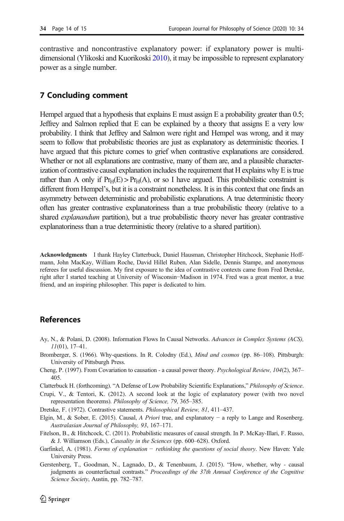<span id="page-13-0"></span>contrastive and noncontrastive explanatory power: if explanatory power is multidimensional (Ylikoski and Kuorikoski [2010\)](#page-14-0), it may be impossible to represent explanatory power as a single number.

### 7 Concluding comment

Hempel argued that a hypothesis that explains E must assign E a probability greater than 0.5; Jeffrey and Salmon replied that E can be explained by a theory that assigns E a very low probability. I think that Jeffrey and Salmon were right and Hempel was wrong, and it may seem to follow that probabilistic theories are just as explanatory as deterministic theories. I have argued that this picture comes to grief when contrastive explanations are considered. Whether or not all explanations are contrastive, many of them are, and a plausible characterization of contrastive causal explanation includes the requirement that H explains why E is true rather than A only if  $Pr_H(E) > Pr_H(A)$ , or so I have argued. This probabilistic constraint is different from Hempel's, but it is a constraint nonetheless. It is in this context that one finds an asymmetry between deterministic and probabilistic explanations. A true deterministic theory often has greater contrastive explanatoriness than a true probabilistic theory (relative to a shared explanandum partition), but a true probabilistic theory never has greater contrastive explanatoriness than a true deterministic theory (relative to a shared partition).

Acknowledgments I thank Hayley Clatterbuck, Daniel Hausman, Christopher Hitchcock, Stephanie Hoffmann, John MacKay, William Roche, David Hillel Ruben, Alan Sidelle, Dennis Stampe, and anonymous referees for useful discussion. My first exposure to the idea of contrastive contexts came from Fred Dretske, right after I started teaching at University of Wisconsin−Madison in 1974. Fred was a great mentor, a true friend, and an inspiring philosopher. This paper is dedicated to him.

# References

- Ay, N., & Polani, D. (2008). Information Flows In Causal Networks. Advances in Complex Systems (ACS),  $11(01)$ , 17–41.
- Bromberger, S. (1966). Why-questions. In R. Colodny (Ed.), Mind and cosmos (pp. 86–108). Pittsburgh: University of Pittsburgh Press.
- Cheng, P. (1997). From Covariation to causation a causal power theory. Psychological Review, 104(2), 367– 405.
- Clatterbuck H. (forthcoming). "A Defense of Low Probability Scientific Explanations," Philosophy of Science.
- Crupi, V., & Tentori, K. (2012). A second look at the logic of explanatory power (with two novel representation theorems). Philosophy of Science, 79, 365–385.
- Dretske, F. (1972). Contrastive statements. Philosophical Review, 81, 411–437.
- Elgin, M., & Sober, E. (2015). Causal, A Priori true, and explanatory − a reply to Lange and Rosenberg. Australasian Journal of Philosophy, 93, 167–171.
- Fitelson, B., & Hitchcock, C. (2011). Probabilistic measures of causal strength. In P. McKay-Illari, F. Russo, & J. Williamson (Eds.), Causality in the Sciences (pp. 600–628). Oxford.
- Garfinkel, A. (1981). *Forms of explanation − rethinking the questions of social theory*. New Haven: Yale University Press.
- Gerstenberg, T., Goodman, N., Lagnado, D., & Tenenbaum, J. (2015). "How, whether, why causal judgments as counterfactual contrasts." Proceedings of the 37th Annual Conference of the Cognitive Science Society, Austin, pp. 782–787.